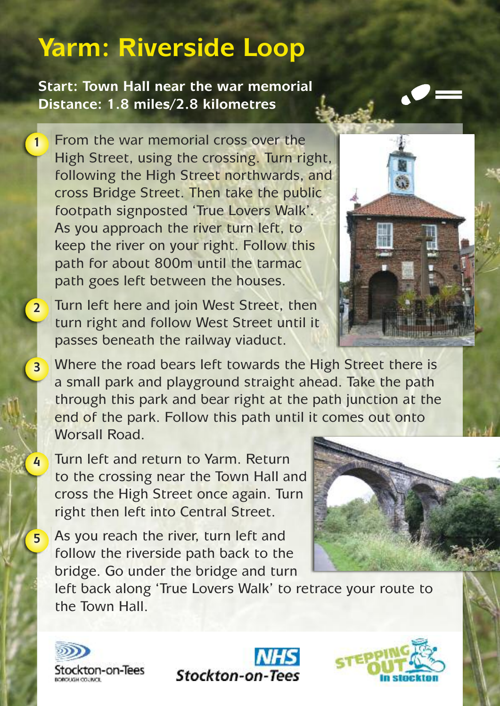## **Yarm: Riverside Loop**

**Start: Town Hall near the war memorial Distance: 1.8 miles/2.8 kilometres**

**1**

**2**

**3**

**4**

**5**

From the war memorial cross over the High Street, using the crossing. Turn right, following the High Street northwards, and cross Bridge Street. Then take the public footpath signposted 'True Lovers Walk'. As you approach the river turn left, to keep the river on your right. Follow this path for about 800m until the tarmac path goes left between the houses.

Turn left here and join West Street, then turn right and follow West Street until it passes beneath the railway viaduct.

Where the road bears left towards the High Street there is a small park and playground straight ahead. Take the path through this park and bear right at the path junction at the end of the park. Follow this path until it comes out onto Worsall Road.

Turn left and return to Yarm. Return to the crossing near the Town Hall and cross the High Street once again. Turn right then left into Central Street.

As you reach the river, turn left and follow the riverside path back to the bridge. Go under the bridge and turn

left back along 'True Lovers Walk' to retrace your route to the Town Hall.